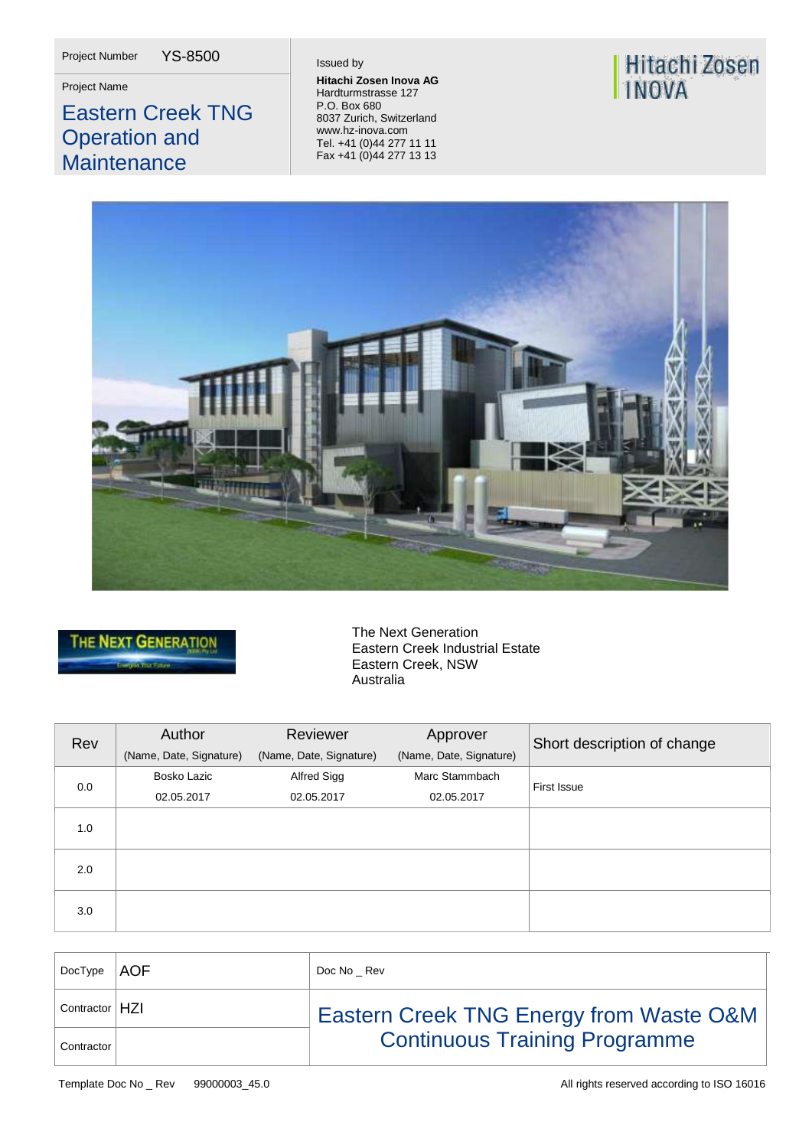Project Number YS-8500

## Eastern Creek TNG Operation and **Maintenance**

**Project Name Hitachi Zosen Inova AG**<br> **Hitachi Zosen Inova AG**<br>
Hordturmatrosos 127 Hardturmstrasse 127 P.O. Box 680 8037 Zurich, Switzerland [www.hz-inova.com](http://www.hz-inova.com/) Tel. +41 (0)44 277 11 11 Fax +41 (0)44 277 13 13

# Hitachi Zosen<br>INOVA





The Next Generation Eastern Creek Industrial Estate Eastern Creek, NSW Australia

| Rev | Author<br>(Name, Date, Signature) | Reviewer<br>(Name, Date, Signature) | Approver<br>(Name, Date, Signature) | Short description of change |
|-----|-----------------------------------|-------------------------------------|-------------------------------------|-----------------------------|
| 0.0 | Bosko Lazic                       | Alfred Sigg                         | Marc Stammbach                      | First Issue                 |
|     | 02.05.2017                        | 02.05.2017                          | 02.05.2017                          |                             |
| 1.0 |                                   |                                     |                                     |                             |
| 2.0 |                                   |                                     |                                     |                             |
| 3.0 |                                   |                                     |                                     |                             |

| DocType $ AOF $  | Doc No Rev                                         |
|------------------|----------------------------------------------------|
| Contractor   HZI | <b>Eastern Creek TNG Energy from Waste O&amp;M</b> |
| Contractor       | <b>Continuous Training Programme</b>               |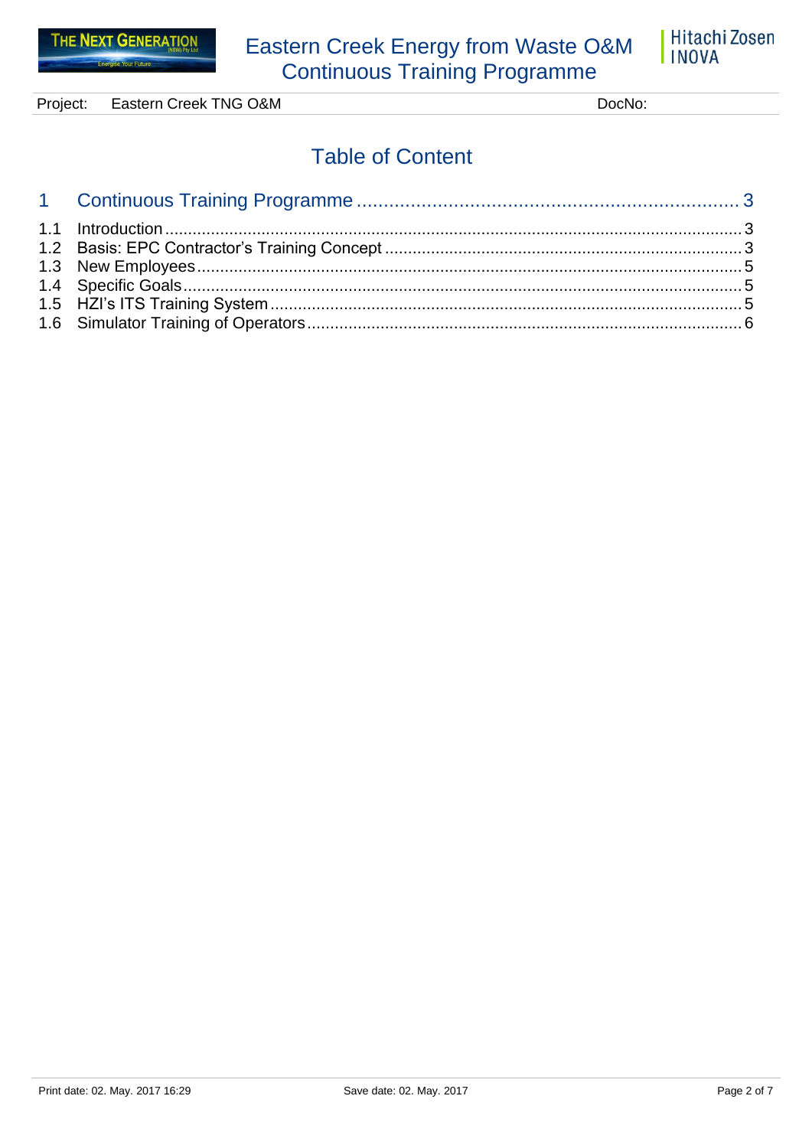

Project: Eastern Creek TNG O&M DocNo:

# **Table of Content**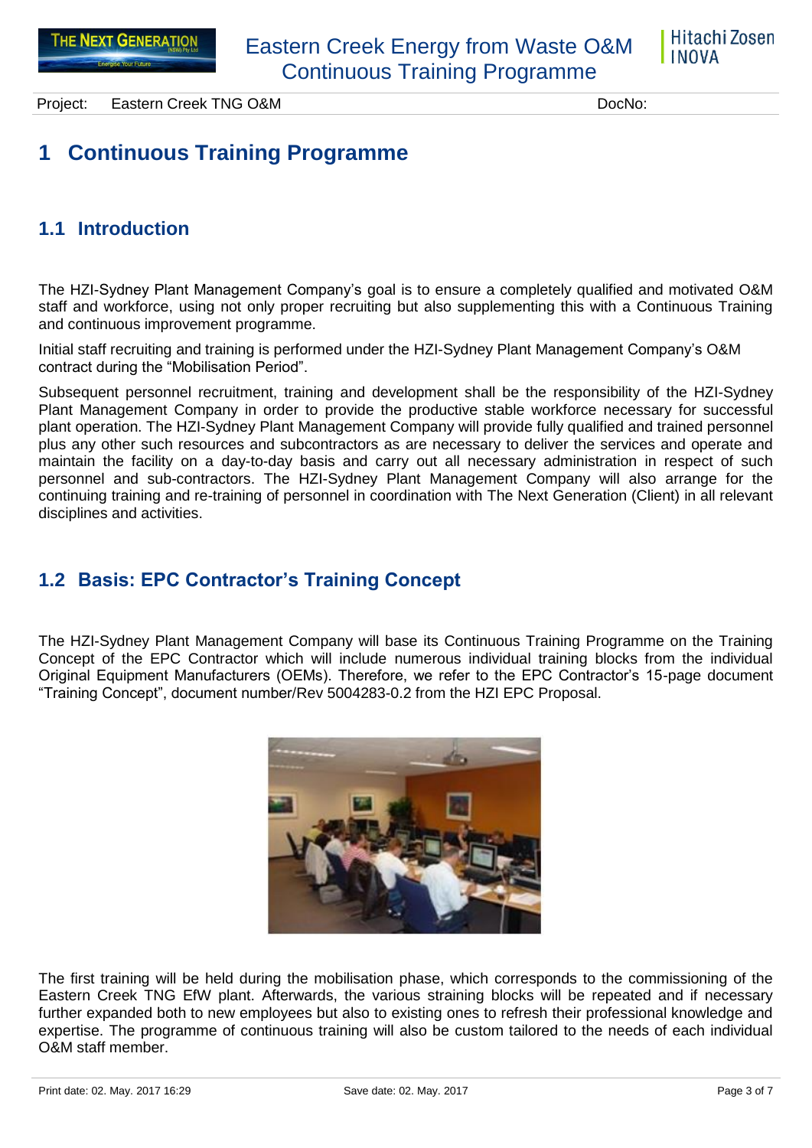

Project: Eastern Creek TNG O&M DocNo: DocNo:

# <span id="page-2-0"></span>**1 Continuous Training Programme**

## <span id="page-2-1"></span>**1.1 Introduction**

The HZI-Sydney Plant Management Company's goal is to ensure a completely qualified and motivated O&M staff and workforce, using not only proper recruiting but also supplementing this with a Continuous Training and continuous improvement programme.

Initial staff recruiting and training is performed under the HZI-Sydney Plant Management Company's O&M contract during the "Mobilisation Period".

Subsequent personnel recruitment, training and development shall be the responsibility of the HZI-Sydney Plant Management Company in order to provide the productive stable workforce necessary for successful plant operation. The HZI-Sydney Plant Management Company will provide fully qualified and trained personnel plus any other such resources and subcontractors as are necessary to deliver the services and operate and maintain the facility on a day-to-day basis and carry out all necessary administration in respect of such personnel and sub-contractors. The HZI-Sydney Plant Management Company will also arrange for the continuing training and re-training of personnel in coordination with The Next Generation (Client) in all relevant disciplines and activities.

## <span id="page-2-2"></span>**1.2 Basis: EPC Contractor's Training Concept**

The HZI-Sydney Plant Management Company will base its Continuous Training Programme on the Training Concept of the EPC Contractor which will include numerous individual training blocks from the individual Original Equipment Manufacturers (OEMs). Therefore, we refer to the EPC Contractor's 15-page document "Training Concept", document number/Rev 5004283-0.2 from the HZI EPC Proposal.



The first training will be held during the mobilisation phase, which corresponds to the commissioning of the Eastern Creek TNG EfW plant. Afterwards, the various straining blocks will be repeated and if necessary further expanded both to new employees but also to existing ones to refresh their professional knowledge and expertise. The programme of continuous training will also be custom tailored to the needs of each individual O&M staff member.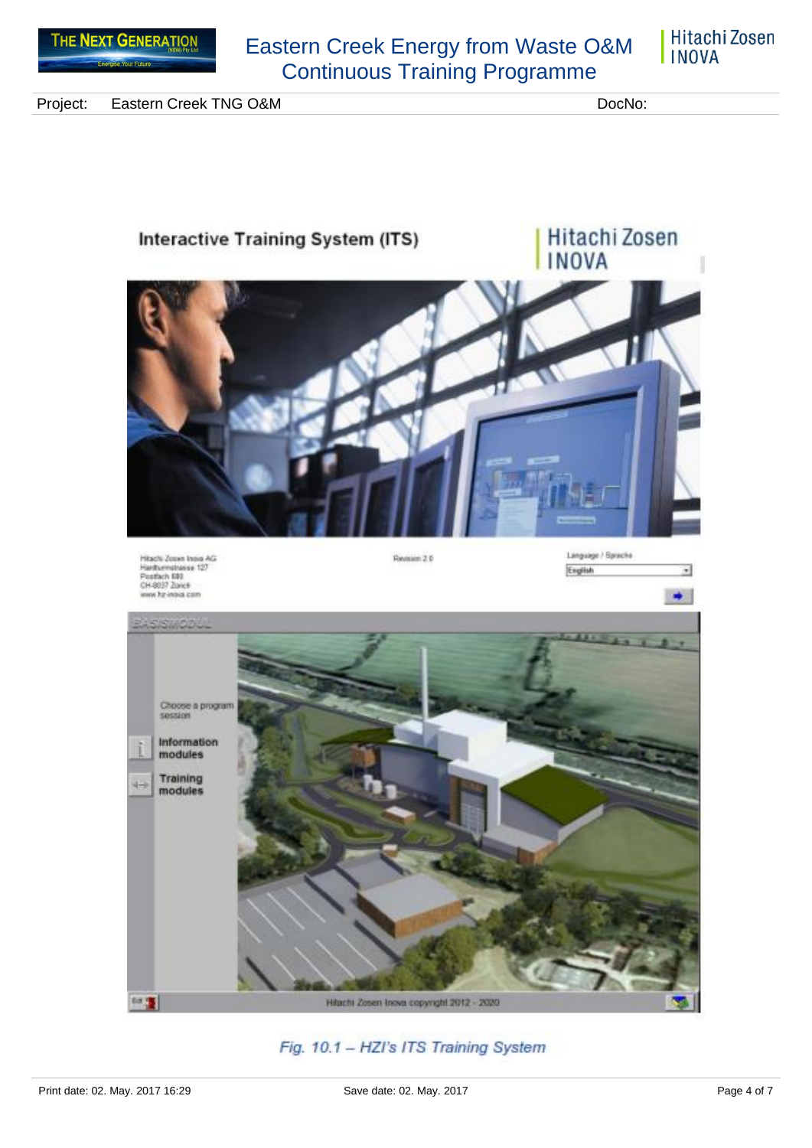

Eastern Creek Energy from Waste O&M Continuous Training Programme

Hitachi Zosen **INOVA** 

Project: Eastern Creek TNG O&M DocNo: DocNo:



#### Fig. 10.1 - HZI's ITS Training System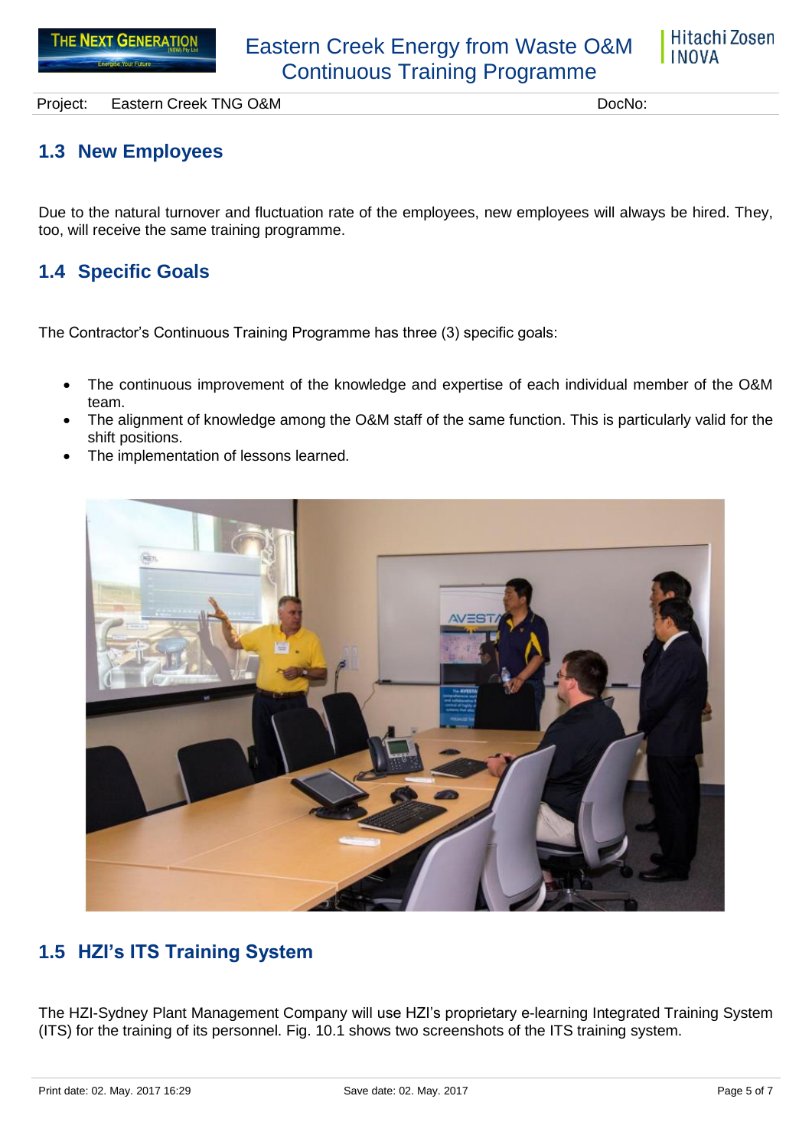

Project: Eastern Creek TNG O&M DocNo: DocNo:

### <span id="page-4-0"></span>**1.3 New Employees**

Due to the natural turnover and fluctuation rate of the employees, new employees will always be hired. They, too, will receive the same training programme.

#### <span id="page-4-1"></span>**1.4 Specific Goals**

The Contractor's Continuous Training Programme has three (3) specific goals:

- The continuous improvement of the knowledge and expertise of each individual member of the O&M team.
- The alignment of knowledge among the O&M staff of the same function. This is particularly valid for the shift positions.
- The implementation of lessons learned.



## <span id="page-4-2"></span>**1.5 HZI's ITS Training System**

The HZI-Sydney Plant Management Company will use HZI's proprietary e-learning Integrated Training System (ITS) for the training of its personnel. Fig. 10.1 shows two screenshots of the ITS training system.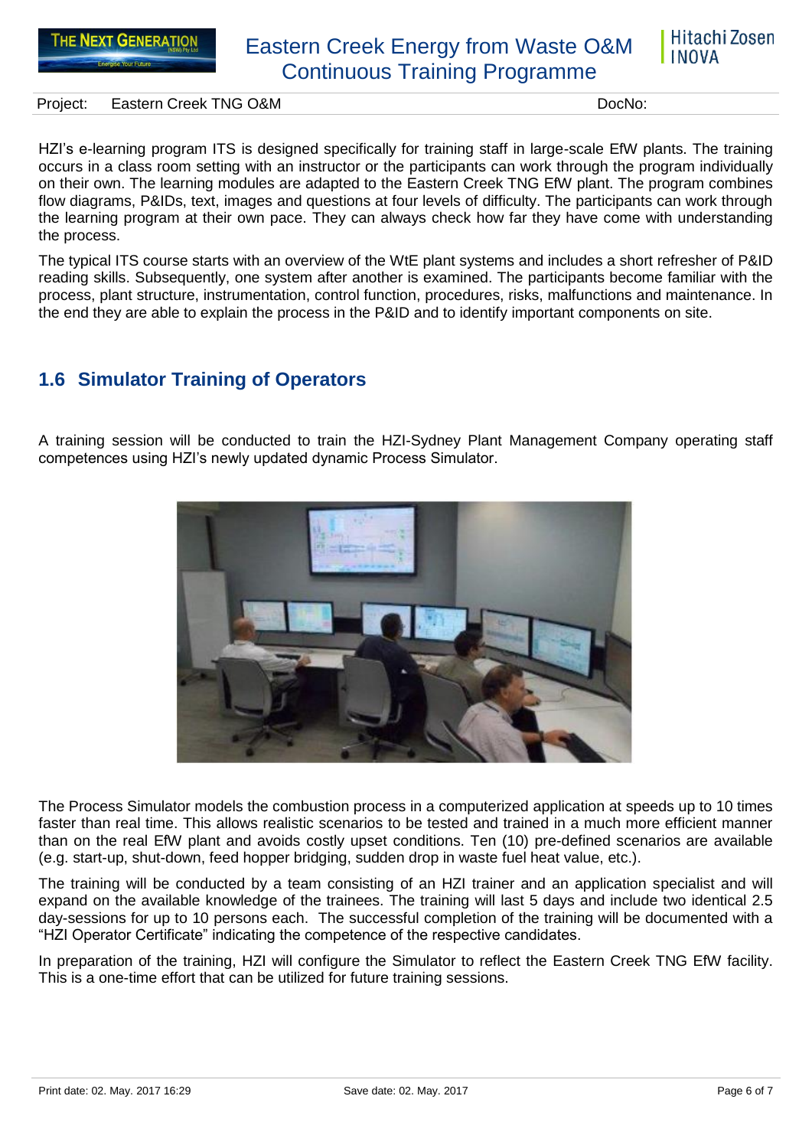## Eastern Creek Energy from Waste O&M Continuous Training Programme

Project: Eastern Creek TNG O&M DocNo: DocNo:

Hitachi Zosen

**INOVA** 

HZI's e-learning program ITS is designed specifically for training staff in large-scale EfW plants. The training occurs in a class room setting with an instructor or the participants can work through the program individually on their own. The learning modules are adapted to the Eastern Creek TNG EfW plant. The program combines flow diagrams, P&IDs, text, images and questions at four levels of difficulty. The participants can work through the learning program at their own pace. They can always check how far they have come with understanding the process.

The typical ITS course starts with an overview of the WtE plant systems and includes a short refresher of P&ID reading skills. Subsequently, one system after another is examined. The participants become familiar with the process, plant structure, instrumentation, control function, procedures, risks, malfunctions and maintenance. In the end they are able to explain the process in the P&ID and to identify important components on site.

#### <span id="page-5-0"></span>**1.6 Simulator Training of Operators**

A training session will be conducted to train the HZI-Sydney Plant Management Company operating staff competences using HZI's newly updated dynamic Process Simulator.



The Process Simulator models the combustion process in a computerized application at speeds up to 10 times faster than real time. This allows realistic scenarios to be tested and trained in a much more efficient manner than on the real EfW plant and avoids costly upset conditions. Ten (10) pre-defined scenarios are available (e.g. start-up, shut-down, feed hopper bridging, sudden drop in waste fuel heat value, etc.).

The training will be conducted by a team consisting of an HZI trainer and an application specialist and will expand on the available knowledge of the trainees. The training will last 5 days and include two identical 2.5 day-sessions for up to 10 persons each. The successful completion of the training will be documented with a "HZI Operator Certificate" indicating the competence of the respective candidates.

In preparation of the training, HZI will configure the Simulator to reflect the Eastern Creek TNG EfW facility. This is a one-time effort that can be utilized for future training sessions.